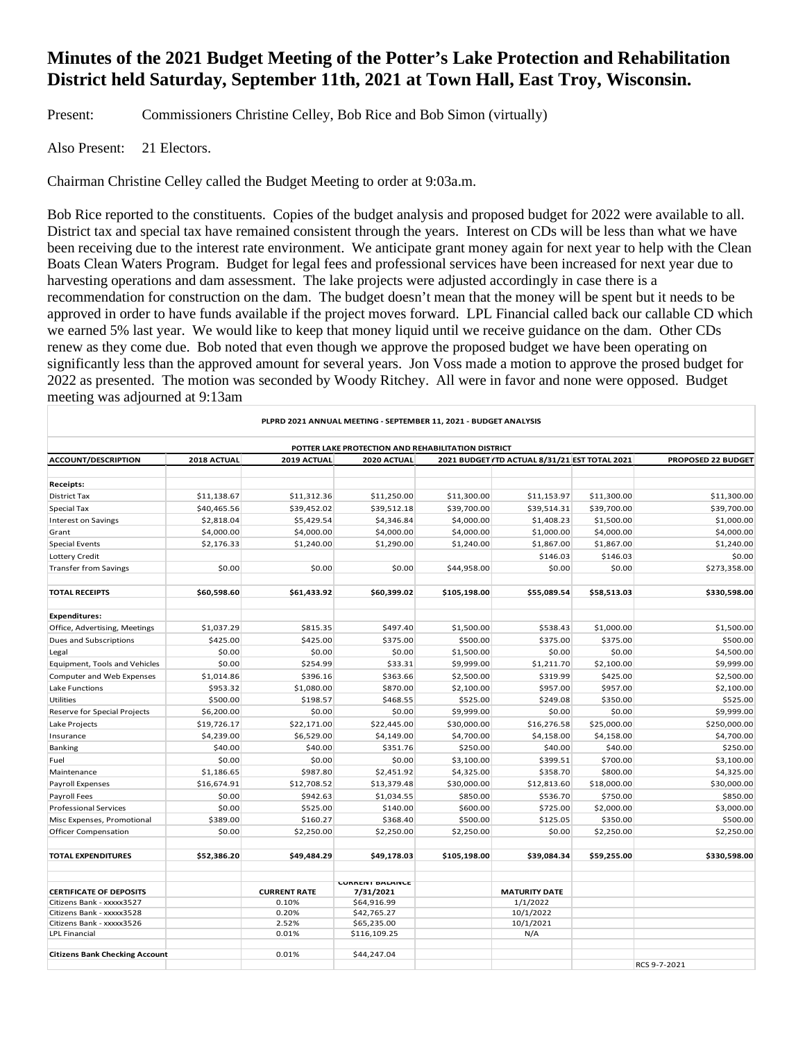# **Minutes of the 2021 Budget Meeting of the Potter's Lake Protection and Rehabilitation District held Saturday, September 11th, 2021 at Town Hall, East Troy, Wisconsin.**

Present: Commissioners Christine Celley, Bob Rice and Bob Simon (virtually)

Also Present: 21 Electors.

Chairman Christine Celley called the Budget Meeting to order at 9:03a.m.

Bob Rice reported to the constituents. Copies of the budget analysis and proposed budget for 2022 were available to all. District tax and special tax have remained consistent through the years. Interest on CDs will be less than what we have been receiving due to the interest rate environment. We anticipate grant money again for next year to help with the Clean Boats Clean Waters Program. Budget for legal fees and professional services have been increased for next year due to harvesting operations and dam assessment. The lake projects were adjusted accordingly in case there is a recommendation for construction on the dam. The budget doesn't mean that the money will be spent but it needs to be approved in order to have funds available if the project moves forward. LPL Financial called back our callable CD which we earned 5% last year. We would like to keep that money liquid until we receive guidance on the dam. Other CDs renew as they come due. Bob noted that even though we approve the proposed budget we have been operating on significantly less than the approved amount for several years. Jon Voss made a motion to approve the prosed budget for 2022 as presented. The motion was seconded by Woody Ritchey. All were in favor and none were opposed. Budget meeting was adjourned at 9:13am

| PLPRD 2021 ANNUAL MEETING - SEPTEMBER 11, 2021 - BUDGET ANALYSIS<br>POTTER LAKE PROTECTION AND REHABILITATION DISTRICT |             |                     |                        |              |                      |             |              |
|------------------------------------------------------------------------------------------------------------------------|-------------|---------------------|------------------------|--------------|----------------------|-------------|--------------|
|                                                                                                                        |             |                     |                        |              |                      |             |              |
| Receipts:                                                                                                              |             |                     |                        |              |                      |             |              |
| <b>District Tax</b>                                                                                                    | \$11,138.67 | \$11,312.36         | \$11,250.00            | \$11,300.00  | \$11,153.97          | \$11,300.00 | \$11,300.00  |
| <b>Special Tax</b>                                                                                                     | \$40,465.56 | \$39,452.02         | \$39,512.18            | \$39,700.00  | \$39,514.31          | \$39,700.00 | \$39,700.00  |
| <b>Interest on Savings</b>                                                                                             | \$2,818.04  | \$5,429.54          | \$4,346.84             | \$4,000.00   | \$1,408.23           | \$1,500.00  | \$1,000.00   |
| Grant                                                                                                                  | \$4,000.00  | \$4,000.00          | \$4,000.00             | \$4,000.00   | \$1,000.00           | \$4,000.00  | \$4,000.00   |
|                                                                                                                        | \$2,176.33  | \$1,240.00          | \$1,290.00             | \$1,240.00   | \$1,867.00           | \$1,867.00  | \$1,240.00   |
| <b>Special Events</b>                                                                                                  |             |                     |                        |              |                      | \$146.03    |              |
| Lottery Credit                                                                                                         | \$0.00      | \$0.00              | \$0.00                 |              | \$146.03             |             | \$0.00       |
| <b>Transfer from Savings</b>                                                                                           |             |                     |                        | \$44,958.00  | \$0.00               | \$0.00      | \$273,358.00 |
| <b>TOTAL RECEIPTS</b>                                                                                                  | \$60,598.60 | \$61,433.92         | \$60,399.02            | \$105,198.00 | \$55,089.54          | \$58,513.03 | \$330,598.00 |
| <b>Expenditures:</b>                                                                                                   |             |                     |                        |              |                      |             |              |
| Office, Advertising, Meetings                                                                                          | \$1,037.29  | \$815.35            | \$497.40               | \$1,500.00   | \$538.43             | \$1,000.00  | \$1,500.00   |
| Dues and Subscriptions                                                                                                 | \$425.00    | \$425.00            | \$375.00               | \$500.00     | \$375.00             | \$375.00    | \$500.00     |
| Legal                                                                                                                  | \$0.00      | \$0.00              | \$0.00                 | \$1,500.00   | \$0.00               | \$0.00      | \$4,500.00   |
| Equipment, Tools and Vehicles                                                                                          | \$0.00      | \$254.99            | \$33.31                | \$9,999.00   | \$1,211.70           | \$2,100.00  | \$9,999.00   |
| Computer and Web Expenses                                                                                              | \$1,014.86  | \$396.16            | \$363.66               | \$2,500.00   | \$319.99             | \$425.00    | \$2,500.00   |
| Lake Functions                                                                                                         | \$953.32    | \$1,080.00          | \$870.00               | \$2,100.00   | \$957.00             | \$957.00    | \$2,100.00   |
| <b>Utilities</b>                                                                                                       | \$500.00    | \$198.57            | \$468.55               | \$525.00     | \$249.08             | \$350.00    | \$525.00     |
| <b>Reserve for Special Projects</b>                                                                                    | \$6,200.00  | \$0.00              | \$0.00                 | \$9,999.00   | \$0.00               | \$0.00      | \$9,999.00   |
| Lake Projects                                                                                                          | \$19,726.17 | \$22,171.00         | \$22,445.00            | \$30,000.00  | \$16,276.58          | \$25,000.00 | \$250,000.00 |
| Insurance                                                                                                              | \$4,239.00  | \$6,529.00          | \$4,149.00             | \$4,700.00   | \$4,158.00           | \$4,158.00  | \$4,700.00   |
| Banking                                                                                                                | \$40.00     | \$40.00             | \$351.76               | \$250.00     | \$40.00              | \$40.00     | \$250.00     |
| Fuel                                                                                                                   | \$0.00      | \$0.00              | \$0.00                 | \$3,100.00   | \$399.51             | \$700.00    | \$3,100.00   |
| Maintenance                                                                                                            | \$1,186.65  | \$987.80            | \$2,451.92             | \$4,325.00   | \$358.70             | \$800.00    | \$4,325.00   |
| Payroll Expenses                                                                                                       | \$16,674.91 | \$12,708.52         | \$13,379.48            | \$30,000.00  | \$12,813.60          | \$18,000.00 | \$30,000.00  |
| Payroll Fees                                                                                                           | \$0.00      | \$942.63            | \$1,034.55             | \$850.00     | \$536.70             | \$750.00    | \$850.00     |
| <b>Professional Services</b>                                                                                           | \$0.00      | \$525.00            | \$140.00               | \$600.00     | \$725.00             | \$2,000.00  | \$3,000.00   |
| Misc Expenses, Promotional                                                                                             | \$389.00    | \$160.27            | \$368.40               | \$500.00     | \$125.05             | \$350.00    | \$500.00     |
|                                                                                                                        | \$0.00      | \$2,250.00          | \$2,250.00             | \$2,250.00   | \$0.00               | \$2,250.00  | \$2,250.00   |
| <b>Officer Compensation</b>                                                                                            |             |                     |                        |              |                      |             |              |
| <b>TOTAL EXPENDITURES</b>                                                                                              | \$52,386.20 | \$49,484.29         | \$49,178.03            | \$105,198.00 | \$39,084.34          | \$59,255.00 | \$330,598.00 |
|                                                                                                                        |             |                     | <b>CURRENT DALANCE</b> |              |                      |             |              |
| <b>CERTIFICATE OF DEPOSITS</b>                                                                                         |             | <b>CURRENT RATE</b> | 7/31/2021              |              | <b>MATURITY DATE</b> |             |              |
| Citizens Bank - xxxxx3527                                                                                              |             | 0.10%               | \$64,916.99            |              | 1/1/2022             |             |              |
| Citizens Bank - xxxxx3528                                                                                              |             | 0.20%               | \$42,765.27            |              | 10/1/2022            |             |              |
| Citizens Bank - xxxxx3526                                                                                              |             | 2.52%               | \$65,235.00            |              | 10/1/2021            |             |              |
| <b>LPL Financial</b>                                                                                                   |             | 0.01%               | \$116,109.25           |              | N/A                  |             |              |
| <b>Citizens Bank Checking Account</b>                                                                                  |             | 0.01%               | \$44,247.04            |              |                      |             |              |
|                                                                                                                        |             |                     |                        |              |                      |             | RCS 9-7-2021 |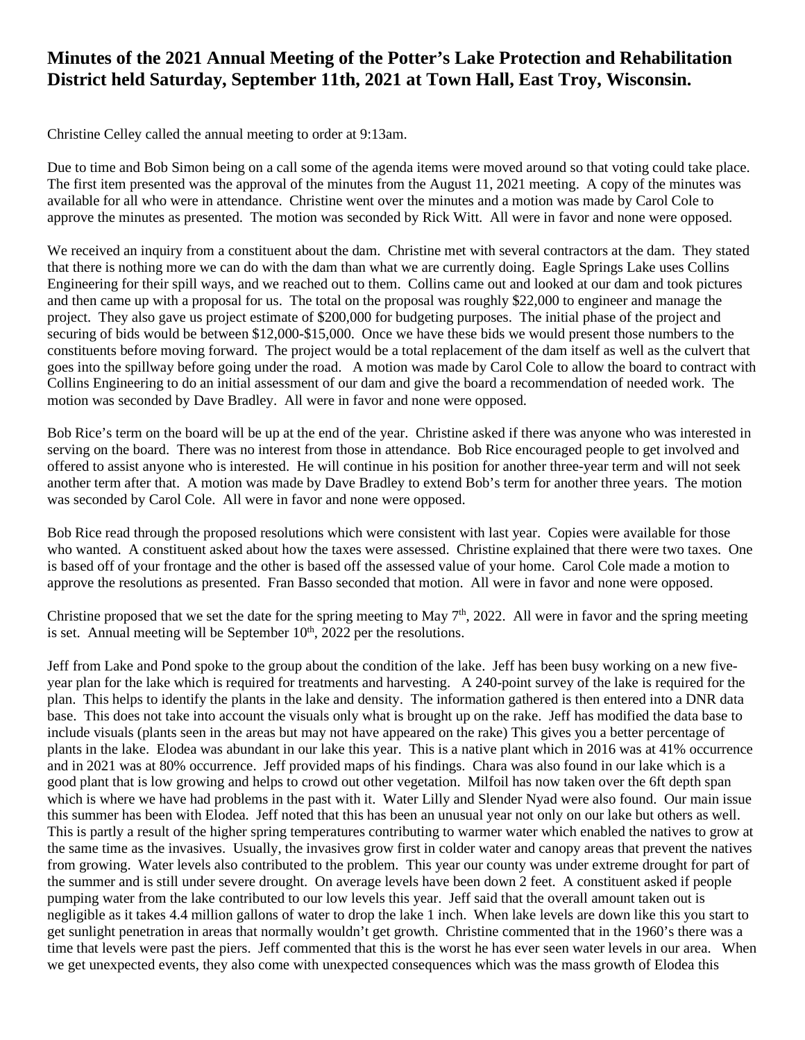# **Minutes of the 2021 Annual Meeting of the Potter's Lake Protection and Rehabilitation District held Saturday, September 11th, 2021 at Town Hall, East Troy, Wisconsin.**

Christine Celley called the annual meeting to order at 9:13am.

Due to time and Bob Simon being on a call some of the agenda items were moved around so that voting could take place. The first item presented was the approval of the minutes from the August 11, 2021 meeting. A copy of the minutes was available for all who were in attendance. Christine went over the minutes and a motion was made by Carol Cole to approve the minutes as presented. The motion was seconded by Rick Witt. All were in favor and none were opposed.

We received an inquiry from a constituent about the dam. Christine met with several contractors at the dam. They stated that there is nothing more we can do with the dam than what we are currently doing. Eagle Springs Lake uses Collins Engineering for their spill ways, and we reached out to them. Collins came out and looked at our dam and took pictures and then came up with a proposal for us. The total on the proposal was roughly \$22,000 to engineer and manage the project. They also gave us project estimate of \$200,000 for budgeting purposes. The initial phase of the project and securing of bids would be between \$12,000-\$15,000. Once we have these bids we would present those numbers to the constituents before moving forward. The project would be a total replacement of the dam itself as well as the culvert that goes into the spillway before going under the road. A motion was made by Carol Cole to allow the board to contract with Collins Engineering to do an initial assessment of our dam and give the board a recommendation of needed work. The motion was seconded by Dave Bradley. All were in favor and none were opposed.

Bob Rice's term on the board will be up at the end of the year. Christine asked if there was anyone who was interested in serving on the board. There was no interest from those in attendance. Bob Rice encouraged people to get involved and offered to assist anyone who is interested. He will continue in his position for another three-year term and will not seek another term after that. A motion was made by Dave Bradley to extend Bob's term for another three years. The motion was seconded by Carol Cole. All were in favor and none were opposed.

Bob Rice read through the proposed resolutions which were consistent with last year. Copies were available for those who wanted. A constituent asked about how the taxes were assessed. Christine explained that there were two taxes. One is based off of your frontage and the other is based off the assessed value of your home. Carol Cole made a motion to approve the resolutions as presented. Fran Basso seconded that motion. All were in favor and none were opposed.

Christine proposed that we set the date for the spring meeting to May  $7<sup>th</sup>$ , 2022. All were in favor and the spring meeting is set. Annual meeting will be September  $10<sup>th</sup>$ , 2022 per the resolutions.

Jeff from Lake and Pond spoke to the group about the condition of the lake. Jeff has been busy working on a new fiveyear plan for the lake which is required for treatments and harvesting. A 240-point survey of the lake is required for the plan. This helps to identify the plants in the lake and density. The information gathered is then entered into a DNR data base. This does not take into account the visuals only what is brought up on the rake. Jeff has modified the data base to include visuals (plants seen in the areas but may not have appeared on the rake) This gives you a better percentage of plants in the lake. Elodea was abundant in our lake this year. This is a native plant which in 2016 was at 41% occurrence and in 2021 was at 80% occurrence. Jeff provided maps of his findings. Chara was also found in our lake which is a good plant that is low growing and helps to crowd out other vegetation. Milfoil has now taken over the 6ft depth span which is where we have had problems in the past with it. Water Lilly and Slender Nyad were also found. Our main issue this summer has been with Elodea. Jeff noted that this has been an unusual year not only on our lake but others as well. This is partly a result of the higher spring temperatures contributing to warmer water which enabled the natives to grow at the same time as the invasives. Usually, the invasives grow first in colder water and canopy areas that prevent the natives from growing. Water levels also contributed to the problem. This year our county was under extreme drought for part of the summer and is still under severe drought. On average levels have been down 2 feet. A constituent asked if people pumping water from the lake contributed to our low levels this year. Jeff said that the overall amount taken out is negligible as it takes 4.4 million gallons of water to drop the lake 1 inch. When lake levels are down like this you start to get sunlight penetration in areas that normally wouldn't get growth. Christine commented that in the 1960's there was a time that levels were past the piers. Jeff commented that this is the worst he has ever seen water levels in our area. When we get unexpected events, they also come with unexpected consequences which was the mass growth of Elodea this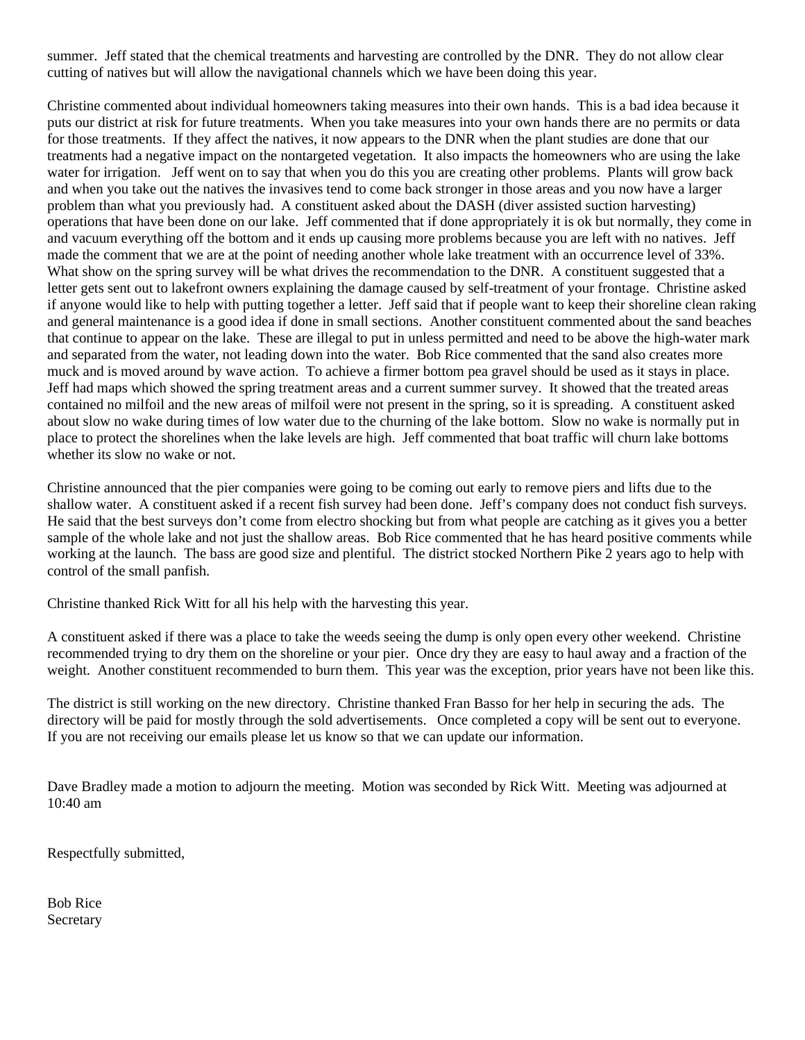summer. Jeff stated that the chemical treatments and harvesting are controlled by the DNR. They do not allow clear cutting of natives but will allow the navigational channels which we have been doing this year.

Christine commented about individual homeowners taking measures into their own hands. This is a bad idea because it puts our district at risk for future treatments. When you take measures into your own hands there are no permits or data for those treatments. If they affect the natives, it now appears to the DNR when the plant studies are done that our treatments had a negative impact on the nontargeted vegetation. It also impacts the homeowners who are using the lake water for irrigation. Jeff went on to say that when you do this you are creating other problems. Plants will grow back and when you take out the natives the invasives tend to come back stronger in those areas and you now have a larger problem than what you previously had. A constituent asked about the DASH (diver assisted suction harvesting) operations that have been done on our lake. Jeff commented that if done appropriately it is ok but normally, they come in and vacuum everything off the bottom and it ends up causing more problems because you are left with no natives. Jeff made the comment that we are at the point of needing another whole lake treatment with an occurrence level of 33%. What show on the spring survey will be what drives the recommendation to the DNR. A constituent suggested that a letter gets sent out to lakefront owners explaining the damage caused by self-treatment of your frontage. Christine asked if anyone would like to help with putting together a letter. Jeff said that if people want to keep their shoreline clean raking and general maintenance is a good idea if done in small sections. Another constituent commented about the sand beaches that continue to appear on the lake. These are illegal to put in unless permitted and need to be above the high-water mark and separated from the water, not leading down into the water. Bob Rice commented that the sand also creates more muck and is moved around by wave action. To achieve a firmer bottom pea gravel should be used as it stays in place. Jeff had maps which showed the spring treatment areas and a current summer survey. It showed that the treated areas contained no milfoil and the new areas of milfoil were not present in the spring, so it is spreading. A constituent asked about slow no wake during times of low water due to the churning of the lake bottom. Slow no wake is normally put in place to protect the shorelines when the lake levels are high. Jeff commented that boat traffic will churn lake bottoms whether its slow no wake or not.

Christine announced that the pier companies were going to be coming out early to remove piers and lifts due to the shallow water. A constituent asked if a recent fish survey had been done. Jeff's company does not conduct fish surveys. He said that the best surveys don't come from electro shocking but from what people are catching as it gives you a better sample of the whole lake and not just the shallow areas. Bob Rice commented that he has heard positive comments while working at the launch. The bass are good size and plentiful. The district stocked Northern Pike 2 years ago to help with control of the small panfish.

Christine thanked Rick Witt for all his help with the harvesting this year.

A constituent asked if there was a place to take the weeds seeing the dump is only open every other weekend. Christine recommended trying to dry them on the shoreline or your pier. Once dry they are easy to haul away and a fraction of the weight. Another constituent recommended to burn them. This year was the exception, prior years have not been like this.

The district is still working on the new directory. Christine thanked Fran Basso for her help in securing the ads. The directory will be paid for mostly through the sold advertisements. Once completed a copy will be sent out to everyone. If you are not receiving our emails please let us know so that we can update our information.

Dave Bradley made a motion to adjourn the meeting. Motion was seconded by Rick Witt. Meeting was adjourned at 10:40 am

Respectfully submitted,

Bob Rice Secretary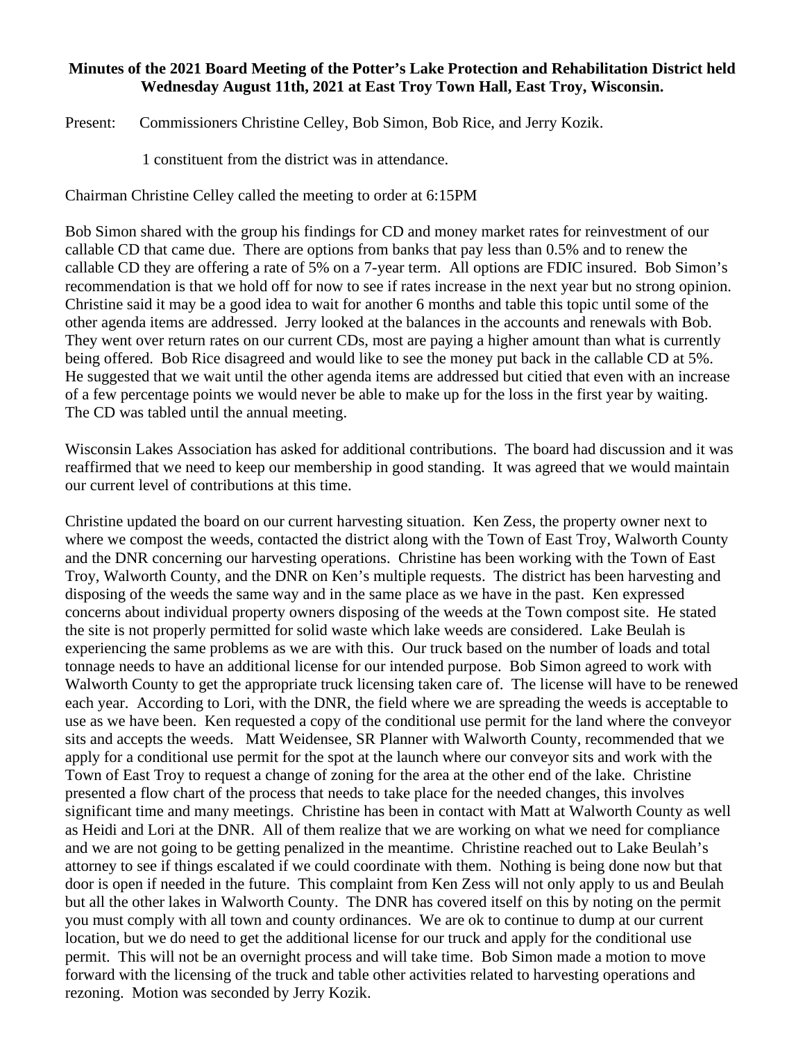### **Minutes of the 2021 Board Meeting of the Potter's Lake Protection and Rehabilitation District held Wednesday August 11th, 2021 at East Troy Town Hall, East Troy, Wisconsin.**

Present: Commissioners Christine Celley, Bob Simon, Bob Rice, and Jerry Kozik.

1 constituent from the district was in attendance.

Chairman Christine Celley called the meeting to order at 6:15PM

Bob Simon shared with the group his findings for CD and money market rates for reinvestment of our callable CD that came due. There are options from banks that pay less than 0.5% and to renew the callable CD they are offering a rate of 5% on a 7-year term. All options are FDIC insured. Bob Simon's recommendation is that we hold off for now to see if rates increase in the next year but no strong opinion. Christine said it may be a good idea to wait for another 6 months and table this topic until some of the other agenda items are addressed. Jerry looked at the balances in the accounts and renewals with Bob. They went over return rates on our current CDs, most are paying a higher amount than what is currently being offered. Bob Rice disagreed and would like to see the money put back in the callable CD at 5%. He suggested that we wait until the other agenda items are addressed but citied that even with an increase of a few percentage points we would never be able to make up for the loss in the first year by waiting. The CD was tabled until the annual meeting.

Wisconsin Lakes Association has asked for additional contributions. The board had discussion and it was reaffirmed that we need to keep our membership in good standing. It was agreed that we would maintain our current level of contributions at this time.

Christine updated the board on our current harvesting situation. Ken Zess, the property owner next to where we compost the weeds, contacted the district along with the Town of East Troy, Walworth County and the DNR concerning our harvesting operations. Christine has been working with the Town of East Troy, Walworth County, and the DNR on Ken's multiple requests. The district has been harvesting and disposing of the weeds the same way and in the same place as we have in the past. Ken expressed concerns about individual property owners disposing of the weeds at the Town compost site. He stated the site is not properly permitted for solid waste which lake weeds are considered. Lake Beulah is experiencing the same problems as we are with this. Our truck based on the number of loads and total tonnage needs to have an additional license for our intended purpose. Bob Simon agreed to work with Walworth County to get the appropriate truck licensing taken care of. The license will have to be renewed each year. According to Lori, with the DNR, the field where we are spreading the weeds is acceptable to use as we have been. Ken requested a copy of the conditional use permit for the land where the conveyor sits and accepts the weeds. Matt Weidensee, SR Planner with Walworth County, recommended that we apply for a conditional use permit for the spot at the launch where our conveyor sits and work with the Town of East Troy to request a change of zoning for the area at the other end of the lake. Christine presented a flow chart of the process that needs to take place for the needed changes, this involves significant time and many meetings. Christine has been in contact with Matt at Walworth County as well as Heidi and Lori at the DNR. All of them realize that we are working on what we need for compliance and we are not going to be getting penalized in the meantime. Christine reached out to Lake Beulah's attorney to see if things escalated if we could coordinate with them. Nothing is being done now but that door is open if needed in the future. This complaint from Ken Zess will not only apply to us and Beulah but all the other lakes in Walworth County. The DNR has covered itself on this by noting on the permit you must comply with all town and county ordinances. We are ok to continue to dump at our current location, but we do need to get the additional license for our truck and apply for the conditional use permit. This will not be an overnight process and will take time. Bob Simon made a motion to move forward with the licensing of the truck and table other activities related to harvesting operations and rezoning. Motion was seconded by Jerry Kozik.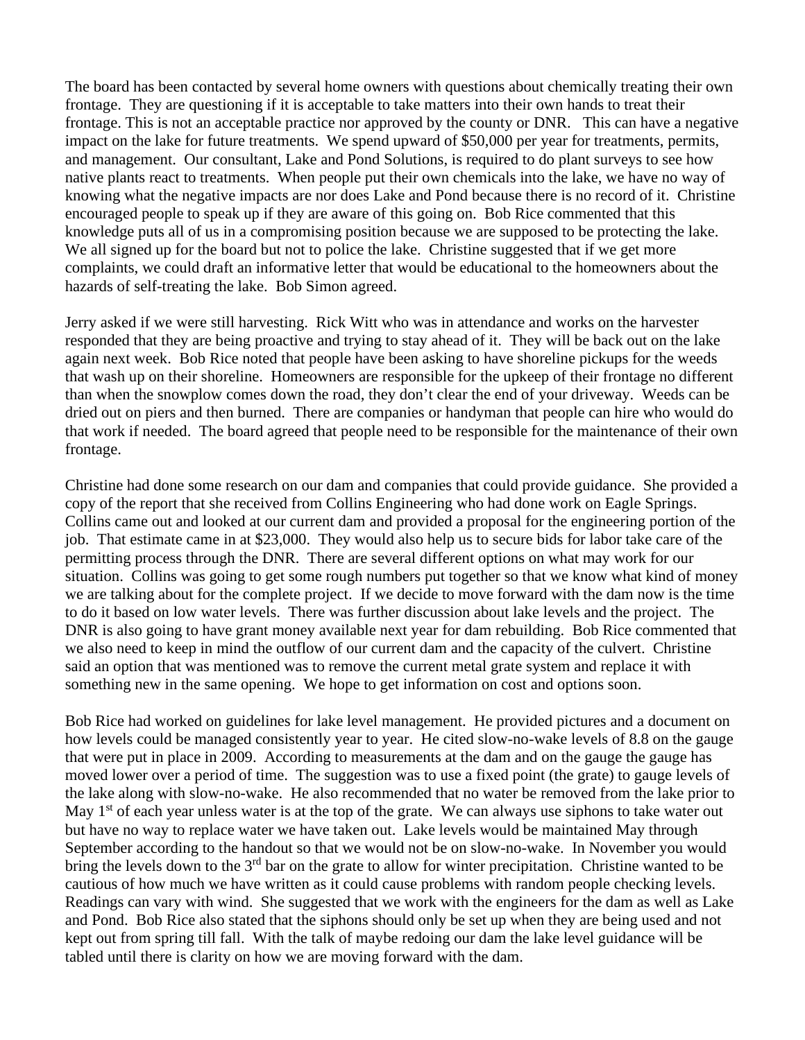The board has been contacted by several home owners with questions about chemically treating their own frontage. They are questioning if it is acceptable to take matters into their own hands to treat their frontage. This is not an acceptable practice nor approved by the county or DNR. This can have a negative impact on the lake for future treatments. We spend upward of \$50,000 per year for treatments, permits, and management. Our consultant, Lake and Pond Solutions, is required to do plant surveys to see how native plants react to treatments. When people put their own chemicals into the lake, we have no way of knowing what the negative impacts are nor does Lake and Pond because there is no record of it. Christine encouraged people to speak up if they are aware of this going on. Bob Rice commented that this knowledge puts all of us in a compromising position because we are supposed to be protecting the lake. We all signed up for the board but not to police the lake. Christine suggested that if we get more complaints, we could draft an informative letter that would be educational to the homeowners about the hazards of self-treating the lake. Bob Simon agreed.

Jerry asked if we were still harvesting. Rick Witt who was in attendance and works on the harvester responded that they are being proactive and trying to stay ahead of it. They will be back out on the lake again next week. Bob Rice noted that people have been asking to have shoreline pickups for the weeds that wash up on their shoreline. Homeowners are responsible for the upkeep of their frontage no different than when the snowplow comes down the road, they don't clear the end of your driveway. Weeds can be dried out on piers and then burned. There are companies or handyman that people can hire who would do that work if needed. The board agreed that people need to be responsible for the maintenance of their own frontage.

Christine had done some research on our dam and companies that could provide guidance. She provided a copy of the report that she received from Collins Engineering who had done work on Eagle Springs. Collins came out and looked at our current dam and provided a proposal for the engineering portion of the job. That estimate came in at \$23,000. They would also help us to secure bids for labor take care of the permitting process through the DNR. There are several different options on what may work for our situation. Collins was going to get some rough numbers put together so that we know what kind of money we are talking about for the complete project. If we decide to move forward with the dam now is the time to do it based on low water levels. There was further discussion about lake levels and the project. The DNR is also going to have grant money available next year for dam rebuilding. Bob Rice commented that we also need to keep in mind the outflow of our current dam and the capacity of the culvert. Christine said an option that was mentioned was to remove the current metal grate system and replace it with something new in the same opening. We hope to get information on cost and options soon.

Bob Rice had worked on guidelines for lake level management. He provided pictures and a document on how levels could be managed consistently year to year. He cited slow-no-wake levels of 8.8 on the gauge that were put in place in 2009. According to measurements at the dam and on the gauge the gauge has moved lower over a period of time. The suggestion was to use a fixed point (the grate) to gauge levels of the lake along with slow-no-wake. He also recommended that no water be removed from the lake prior to May 1<sup>st</sup> of each year unless water is at the top of the grate. We can always use siphons to take water out but have no way to replace water we have taken out. Lake levels would be maintained May through September according to the handout so that we would not be on slow-no-wake. In November you would bring the levels down to the 3<sup>rd</sup> bar on the grate to allow for winter precipitation. Christine wanted to be cautious of how much we have written as it could cause problems with random people checking levels. Readings can vary with wind. She suggested that we work with the engineers for the dam as well as Lake and Pond. Bob Rice also stated that the siphons should only be set up when they are being used and not kept out from spring till fall. With the talk of maybe redoing our dam the lake level guidance will be tabled until there is clarity on how we are moving forward with the dam.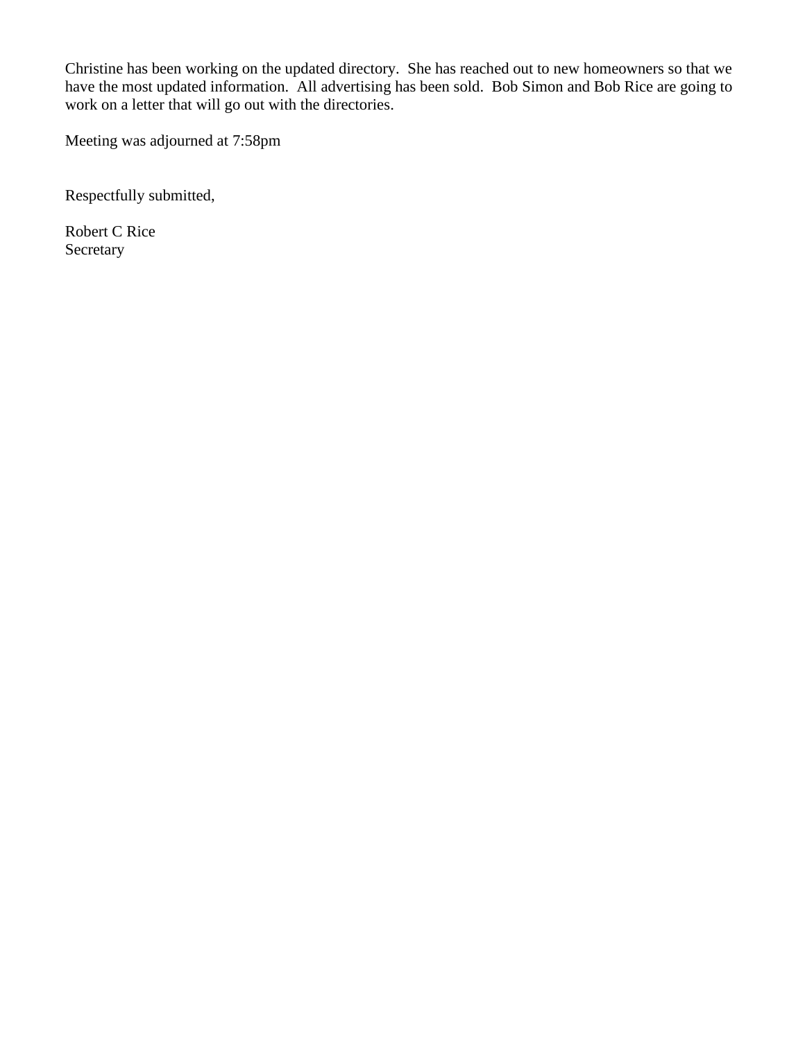Christine has been working on the updated directory. She has reached out to new homeowners so that we have the most updated information. All advertising has been sold. Bob Simon and Bob Rice are going to work on a letter that will go out with the directories.

Meeting was adjourned at 7:58pm

Respectfully submitted,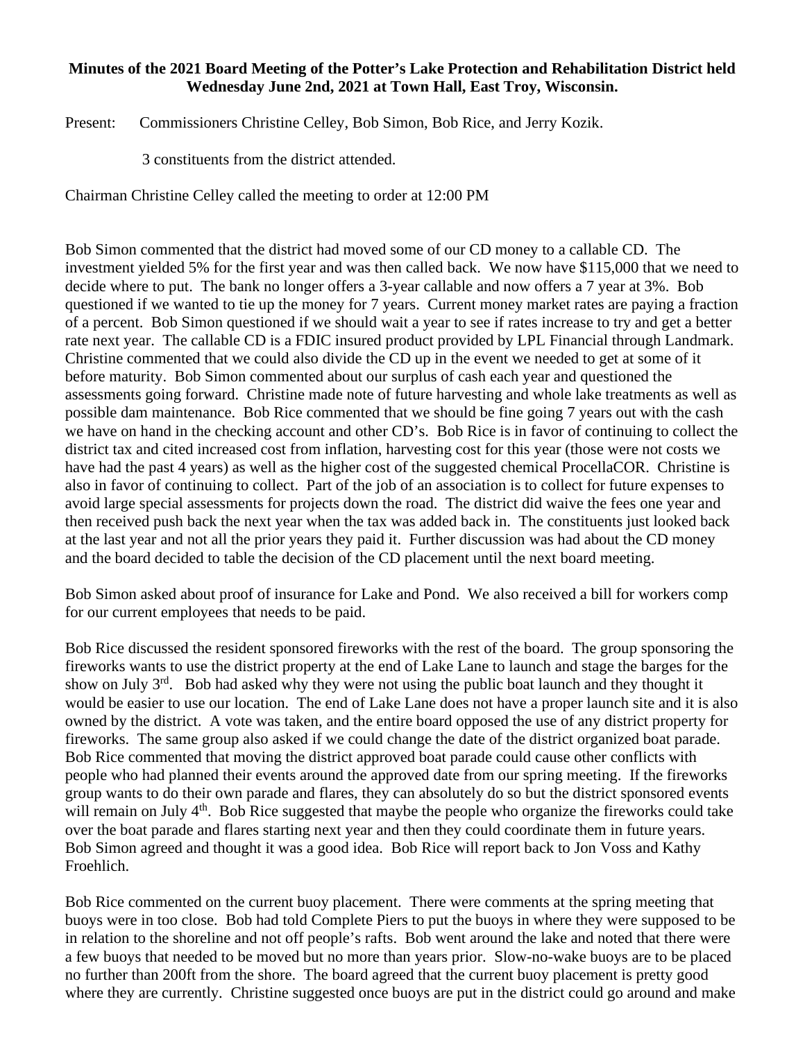### **Minutes of the 2021 Board Meeting of the Potter's Lake Protection and Rehabilitation District held Wednesday June 2nd, 2021 at Town Hall, East Troy, Wisconsin.**

Present: Commissioners Christine Celley, Bob Simon, Bob Rice, and Jerry Kozik.

3 constituents from the district attended.

Chairman Christine Celley called the meeting to order at 12:00 PM

Bob Simon commented that the district had moved some of our CD money to a callable CD. The investment yielded 5% for the first year and was then called back. We now have \$115,000 that we need to decide where to put. The bank no longer offers a 3-year callable and now offers a 7 year at 3%. Bob questioned if we wanted to tie up the money for 7 years. Current money market rates are paying a fraction of a percent. Bob Simon questioned if we should wait a year to see if rates increase to try and get a better rate next year. The callable CD is a FDIC insured product provided by LPL Financial through Landmark. Christine commented that we could also divide the CD up in the event we needed to get at some of it before maturity. Bob Simon commented about our surplus of cash each year and questioned the assessments going forward. Christine made note of future harvesting and whole lake treatments as well as possible dam maintenance. Bob Rice commented that we should be fine going 7 years out with the cash we have on hand in the checking account and other CD's. Bob Rice is in favor of continuing to collect the district tax and cited increased cost from inflation, harvesting cost for this year (those were not costs we have had the past 4 years) as well as the higher cost of the suggested chemical ProcellaCOR. Christine is also in favor of continuing to collect. Part of the job of an association is to collect for future expenses to avoid large special assessments for projects down the road. The district did waive the fees one year and then received push back the next year when the tax was added back in. The constituents just looked back at the last year and not all the prior years they paid it. Further discussion was had about the CD money and the board decided to table the decision of the CD placement until the next board meeting.

Bob Simon asked about proof of insurance for Lake and Pond. We also received a bill for workers comp for our current employees that needs to be paid.

Bob Rice discussed the resident sponsored fireworks with the rest of the board. The group sponsoring the fireworks wants to use the district property at the end of Lake Lane to launch and stage the barges for the show on July 3<sup>rd</sup>. Bob had asked why they were not using the public boat launch and they thought it would be easier to use our location. The end of Lake Lane does not have a proper launch site and it is also owned by the district. A vote was taken, and the entire board opposed the use of any district property for fireworks. The same group also asked if we could change the date of the district organized boat parade. Bob Rice commented that moving the district approved boat parade could cause other conflicts with people who had planned their events around the approved date from our spring meeting. If the fireworks group wants to do their own parade and flares, they can absolutely do so but the district sponsored events will remain on July 4<sup>th</sup>. Bob Rice suggested that maybe the people who organize the fireworks could take over the boat parade and flares starting next year and then they could coordinate them in future years. Bob Simon agreed and thought it was a good idea. Bob Rice will report back to Jon Voss and Kathy Froehlich.

Bob Rice commented on the current buoy placement. There were comments at the spring meeting that buoys were in too close. Bob had told Complete Piers to put the buoys in where they were supposed to be in relation to the shoreline and not off people's rafts. Bob went around the lake and noted that there were a few buoys that needed to be moved but no more than years prior. Slow-no-wake buoys are to be placed no further than 200ft from the shore. The board agreed that the current buoy placement is pretty good where they are currently. Christine suggested once buoys are put in the district could go around and make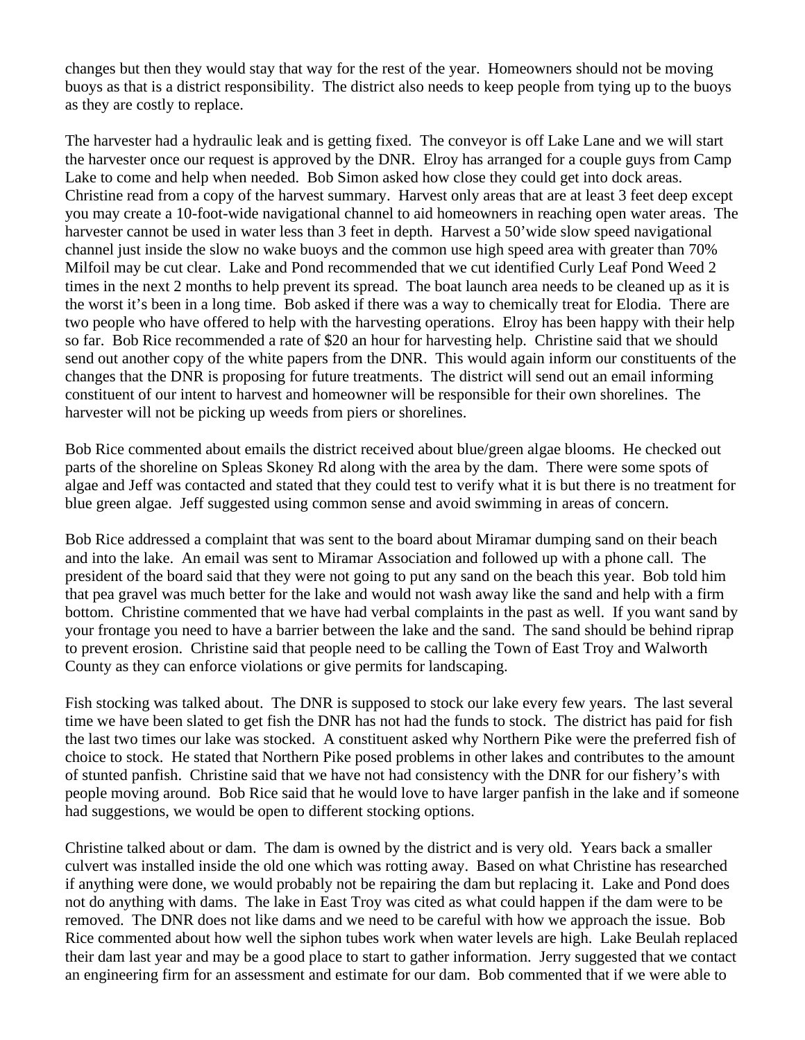changes but then they would stay that way for the rest of the year. Homeowners should not be moving buoys as that is a district responsibility. The district also needs to keep people from tying up to the buoys as they are costly to replace.

The harvester had a hydraulic leak and is getting fixed. The conveyor is off Lake Lane and we will start the harvester once our request is approved by the DNR. Elroy has arranged for a couple guys from Camp Lake to come and help when needed. Bob Simon asked how close they could get into dock areas. Christine read from a copy of the harvest summary. Harvest only areas that are at least 3 feet deep except you may create a 10-foot-wide navigational channel to aid homeowners in reaching open water areas. The harvester cannot be used in water less than 3 feet in depth. Harvest a 50'wide slow speed navigational channel just inside the slow no wake buoys and the common use high speed area with greater than 70% Milfoil may be cut clear. Lake and Pond recommended that we cut identified Curly Leaf Pond Weed 2 times in the next 2 months to help prevent its spread. The boat launch area needs to be cleaned up as it is the worst it's been in a long time. Bob asked if there was a way to chemically treat for Elodia. There are two people who have offered to help with the harvesting operations. Elroy has been happy with their help so far. Bob Rice recommended a rate of \$20 an hour for harvesting help. Christine said that we should send out another copy of the white papers from the DNR. This would again inform our constituents of the changes that the DNR is proposing for future treatments. The district will send out an email informing constituent of our intent to harvest and homeowner will be responsible for their own shorelines. The harvester will not be picking up weeds from piers or shorelines.

Bob Rice commented about emails the district received about blue/green algae blooms. He checked out parts of the shoreline on Spleas Skoney Rd along with the area by the dam. There were some spots of algae and Jeff was contacted and stated that they could test to verify what it is but there is no treatment for blue green algae. Jeff suggested using common sense and avoid swimming in areas of concern.

Bob Rice addressed a complaint that was sent to the board about Miramar dumping sand on their beach and into the lake. An email was sent to Miramar Association and followed up with a phone call. The president of the board said that they were not going to put any sand on the beach this year. Bob told him that pea gravel was much better for the lake and would not wash away like the sand and help with a firm bottom. Christine commented that we have had verbal complaints in the past as well. If you want sand by your frontage you need to have a barrier between the lake and the sand. The sand should be behind riprap to prevent erosion. Christine said that people need to be calling the Town of East Troy and Walworth County as they can enforce violations or give permits for landscaping.

Fish stocking was talked about. The DNR is supposed to stock our lake every few years. The last several time we have been slated to get fish the DNR has not had the funds to stock. The district has paid for fish the last two times our lake was stocked. A constituent asked why Northern Pike were the preferred fish of choice to stock. He stated that Northern Pike posed problems in other lakes and contributes to the amount of stunted panfish. Christine said that we have not had consistency with the DNR for our fishery's with people moving around. Bob Rice said that he would love to have larger panfish in the lake and if someone had suggestions, we would be open to different stocking options.

Christine talked about or dam. The dam is owned by the district and is very old. Years back a smaller culvert was installed inside the old one which was rotting away. Based on what Christine has researched if anything were done, we would probably not be repairing the dam but replacing it. Lake and Pond does not do anything with dams. The lake in East Troy was cited as what could happen if the dam were to be removed. The DNR does not like dams and we need to be careful with how we approach the issue. Bob Rice commented about how well the siphon tubes work when water levels are high. Lake Beulah replaced their dam last year and may be a good place to start to gather information. Jerry suggested that we contact an engineering firm for an assessment and estimate for our dam. Bob commented that if we were able to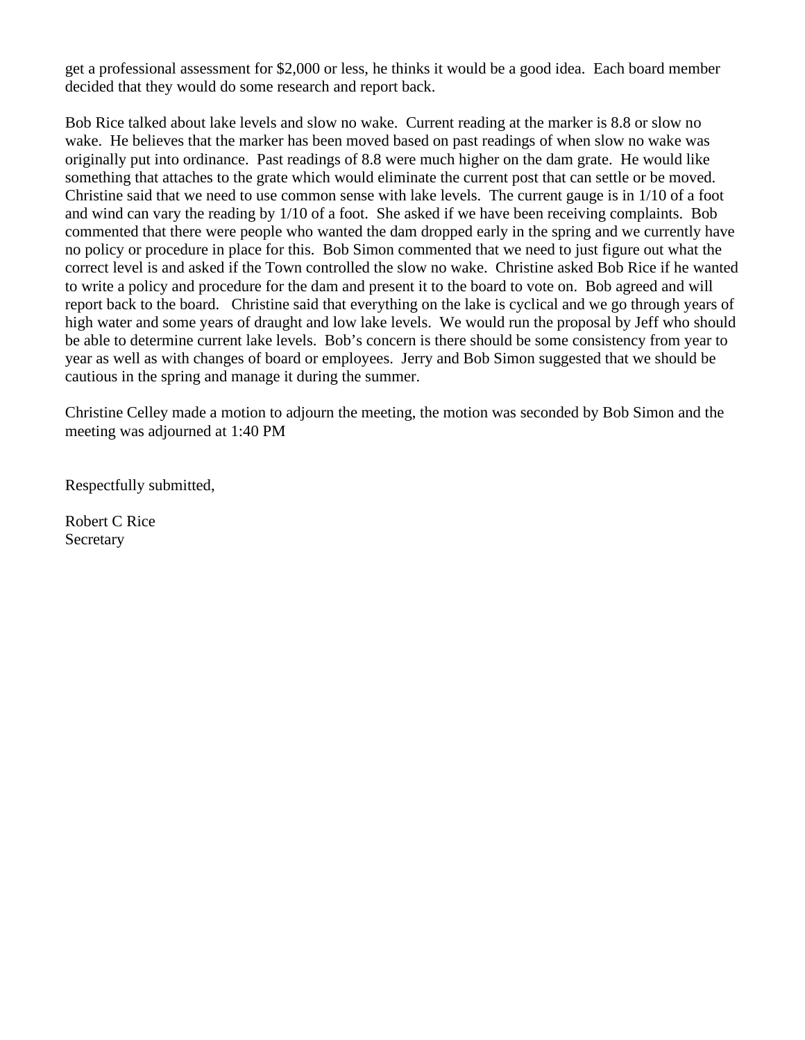get a professional assessment for \$2,000 or less, he thinks it would be a good idea. Each board member decided that they would do some research and report back.

Bob Rice talked about lake levels and slow no wake. Current reading at the marker is 8.8 or slow no wake. He believes that the marker has been moved based on past readings of when slow no wake was originally put into ordinance. Past readings of 8.8 were much higher on the dam grate. He would like something that attaches to the grate which would eliminate the current post that can settle or be moved. Christine said that we need to use common sense with lake levels. The current gauge is in 1/10 of a foot and wind can vary the reading by 1/10 of a foot. She asked if we have been receiving complaints. Bob commented that there were people who wanted the dam dropped early in the spring and we currently have no policy or procedure in place for this. Bob Simon commented that we need to just figure out what the correct level is and asked if the Town controlled the slow no wake. Christine asked Bob Rice if he wanted to write a policy and procedure for the dam and present it to the board to vote on. Bob agreed and will report back to the board. Christine said that everything on the lake is cyclical and we go through years of high water and some years of draught and low lake levels. We would run the proposal by Jeff who should be able to determine current lake levels. Bob's concern is there should be some consistency from year to year as well as with changes of board or employees. Jerry and Bob Simon suggested that we should be cautious in the spring and manage it during the summer.

Christine Celley made a motion to adjourn the meeting, the motion was seconded by Bob Simon and the meeting was adjourned at 1:40 PM

Respectfully submitted,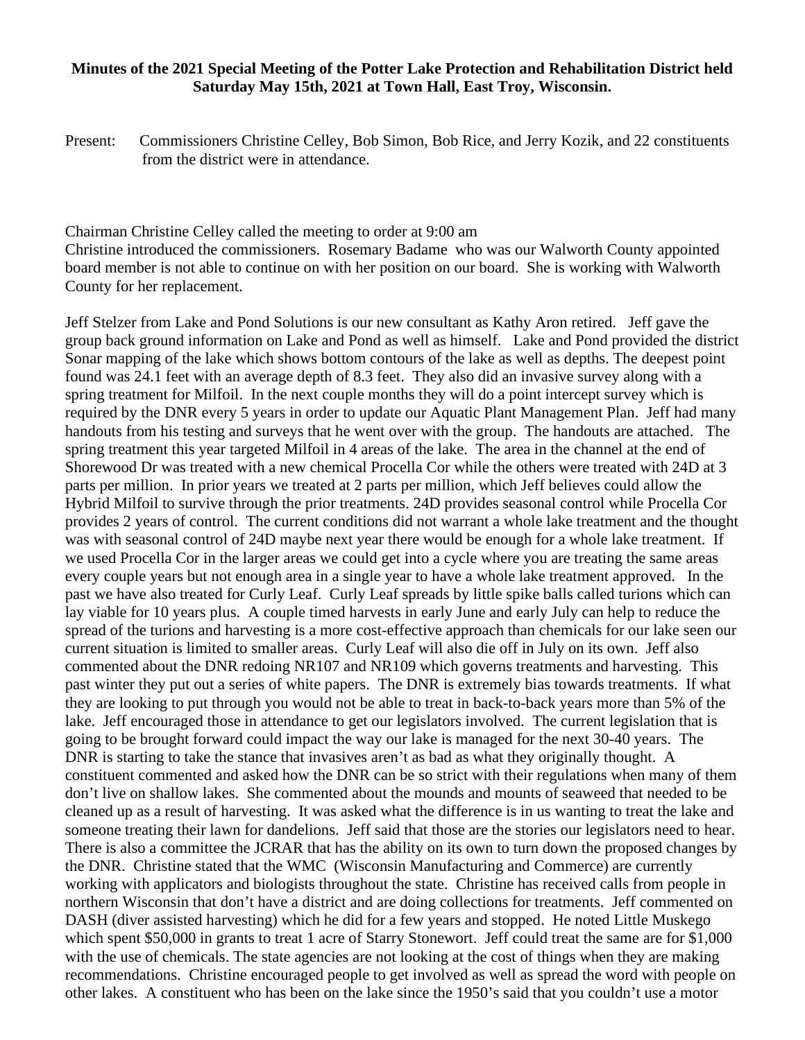#### **Minutes of the 2021 Special Meeting of the Potter Lake Protection and Rehabilitation District held Saturday May 15th, 2021 at Town Hall, East Troy, Wisconsin.**

Present: Commissioners Christine Celley, Bob Simon, Bob Rice, and Jerry Kozik, and 22 constituents from the district were in attendance.

Chairman Christine Celley called the meeting to order at 9:00 am

Christine introduced the commissioners. Rosemary Badame who was our Walworth County appointed board member is not able to continue on with her position on our board. She is working with Walworth County for her replacement.

Jeff Stelzer from Lake and Pond Solutions is our new consultant as Kathy Aron retired. Jeff gave the group back ground information on Lake and Pond as well as himself. Lake and Pond provided the district Sonar mapping of the lake which shows bottom contours of the lake as well as depths. The deepest point found was 24.1 feet with an average depth of 8.3 feet. They also did an invasive survey along with a spring treatment for Milfoil. In the next couple months they will do a point intercept survey which is required by the DNR every 5 years in order to update our Aquatic Plant Management Plan. Jeff had many handouts from his testing and surveys that he went over with the group. The handouts are attached. The spring treatment this year targeted Milfoil in 4 areas of the lake. The area in the channel at the end of Shorewood Dr was treated with a new chemical Procella Cor while the others were treated with 24D at 3 parts per million. In prior years we treated at 2 parts per million, which Jeff believes could allow the Hybrid Milfoil to survive through the prior treatments. 24D provides seasonal control while Procella Cor provides 2 years of control. The current conditions did not warrant a whole lake treatment and the thought was with seasonal control of 24D maybe next year there would be enough for a whole lake treatment. If we used Procella Cor in the larger areas we could get into a cycle where you are treating the same areas every couple years but not enough area in a single year to have a whole lake treatment approved. In the past we have also treated for Curly Leaf. Curly Leaf spreads by little spike balls called turions which can lay viable for 10 years plus. A couple timed harvests in early June and early July can help to reduce the spread of the turions and harvesting is a more cost-effective approach than chemicals for our lake seen our current situation is limited to smaller areas. Curly Leaf will also die off in July on its own. Jeff also commented about the DNR redoing NR107 and NR109 which governs treatments and harvesting. This past winter they put out a series of white papers. The DNR is extremely bias towards treatments. If what they are looking to put through you would not be able to treat in back-to-back years more than 5% of the lake. Jeff encouraged those in attendance to get our legislators involved. The current legislation that is going to be brought forward could impact the way our lake is managed for the next 30-40 years. The DNR is starting to take the stance that invasives aren't as bad as what they originally thought. A constituent commented and asked how the DNR can be so strict with their regulations when many of them don't live on shallow lakes. She commented about the mounds and mounts of seaweed that needed to be cleaned up as a result of harvesting. It was asked what the difference is in us wanting to treat the lake and someone treating their lawn for dandelions. Jeff said that those are the stories our legislators need to hear. There is also a committee the JCRAR that has the ability on its own to turn down the proposed changes by the DNR. Christine stated that the WMC (Wisconsin Manufacturing and Commerce) are currently working with applicators and biologists throughout the state. Christine has received calls from people in northern Wisconsin that don't have a district and are doing collections for treatments. Jeff commented on DASH (diver assisted harvesting) which he did for a few years and stopped. He noted Little Muskego which spent \$50,000 in grants to treat 1 acre of Starry Stonewort. Jeff could treat the same are for \$1,000 with the use of chemicals. The state agencies are not looking at the cost of things when they are making recommendations. Christine encouraged people to get involved as well as spread the word with people on other lakes. A constituent who has been on the lake since the 1950's said that you couldn't use a motor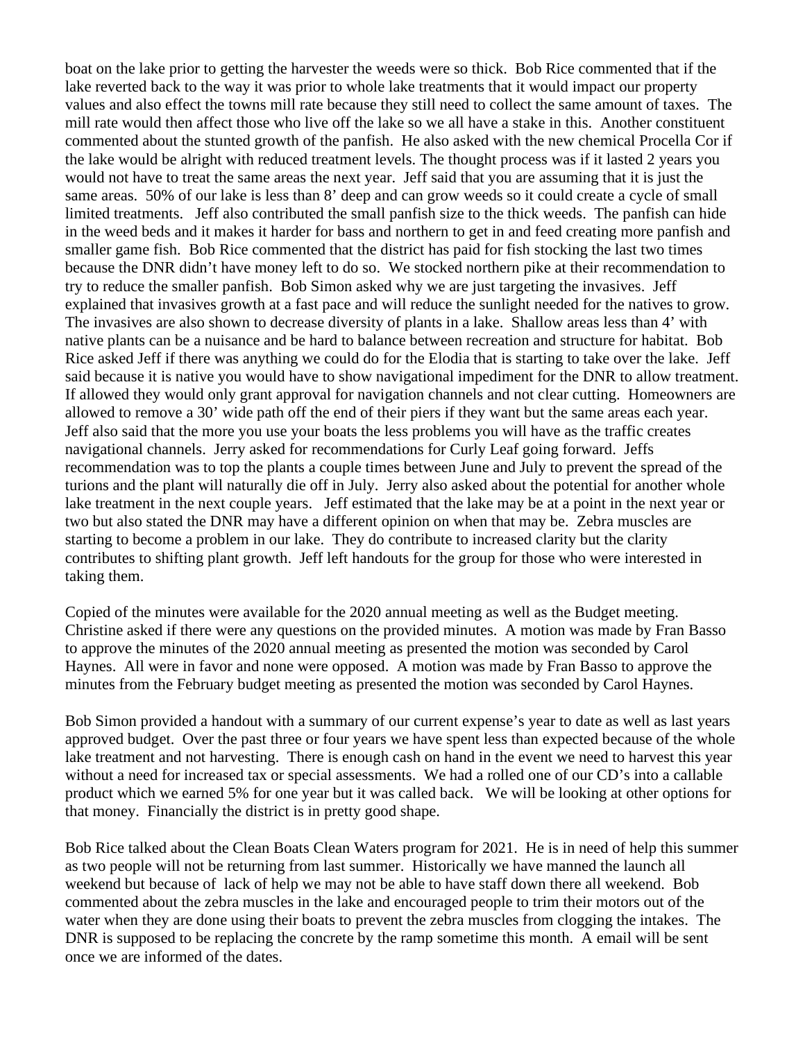boat on the lake prior to getting the harvester the weeds were so thick. Bob Rice commented that if the lake reverted back to the way it was prior to whole lake treatments that it would impact our property values and also effect the towns mill rate because they still need to collect the same amount of taxes. The mill rate would then affect those who live off the lake so we all have a stake in this. Another constituent commented about the stunted growth of the panfish. He also asked with the new chemical Procella Cor if the lake would be alright with reduced treatment levels. The thought process was if it lasted 2 years you would not have to treat the same areas the next year. Jeff said that you are assuming that it is just the same areas. 50% of our lake is less than 8' deep and can grow weeds so it could create a cycle of small limited treatments. Jeff also contributed the small panfish size to the thick weeds. The panfish can hide in the weed beds and it makes it harder for bass and northern to get in and feed creating more panfish and smaller game fish. Bob Rice commented that the district has paid for fish stocking the last two times because the DNR didn't have money left to do so. We stocked northern pike at their recommendation to try to reduce the smaller panfish. Bob Simon asked why we are just targeting the invasives. Jeff explained that invasives growth at a fast pace and will reduce the sunlight needed for the natives to grow. The invasives are also shown to decrease diversity of plants in a lake. Shallow areas less than 4' with native plants can be a nuisance and be hard to balance between recreation and structure for habitat. Bob Rice asked Jeff if there was anything we could do for the Elodia that is starting to take over the lake. Jeff said because it is native you would have to show navigational impediment for the DNR to allow treatment. If allowed they would only grant approval for navigation channels and not clear cutting. Homeowners are allowed to remove a 30' wide path off the end of their piers if they want but the same areas each year. Jeff also said that the more you use your boats the less problems you will have as the traffic creates navigational channels. Jerry asked for recommendations for Curly Leaf going forward. Jeffs recommendation was to top the plants a couple times between June and July to prevent the spread of the turions and the plant will naturally die off in July. Jerry also asked about the potential for another whole lake treatment in the next couple years. Jeff estimated that the lake may be at a point in the next year or two but also stated the DNR may have a different opinion on when that may be. Zebra muscles are starting to become a problem in our lake. They do contribute to increased clarity but the clarity contributes to shifting plant growth. Jeff left handouts for the group for those who were interested in taking them.

Copied of the minutes were available for the 2020 annual meeting as well as the Budget meeting. Christine asked if there were any questions on the provided minutes. A motion was made by Fran Basso to approve the minutes of the 2020 annual meeting as presented the motion was seconded by Carol Haynes. All were in favor and none were opposed. A motion was made by Fran Basso to approve the minutes from the February budget meeting as presented the motion was seconded by Carol Haynes.

Bob Simon provided a handout with a summary of our current expense's year to date as well as last years approved budget. Over the past three or four years we have spent less than expected because of the whole lake treatment and not harvesting. There is enough cash on hand in the event we need to harvest this year without a need for increased tax or special assessments. We had a rolled one of our CD's into a callable product which we earned 5% for one year but it was called back. We will be looking at other options for that money. Financially the district is in pretty good shape.

Bob Rice talked about the Clean Boats Clean Waters program for 2021. He is in need of help this summer as two people will not be returning from last summer. Historically we have manned the launch all weekend but because of lack of help we may not be able to have staff down there all weekend. Bob commented about the zebra muscles in the lake and encouraged people to trim their motors out of the water when they are done using their boats to prevent the zebra muscles from clogging the intakes. The DNR is supposed to be replacing the concrete by the ramp sometime this month. A email will be sent once we are informed of the dates.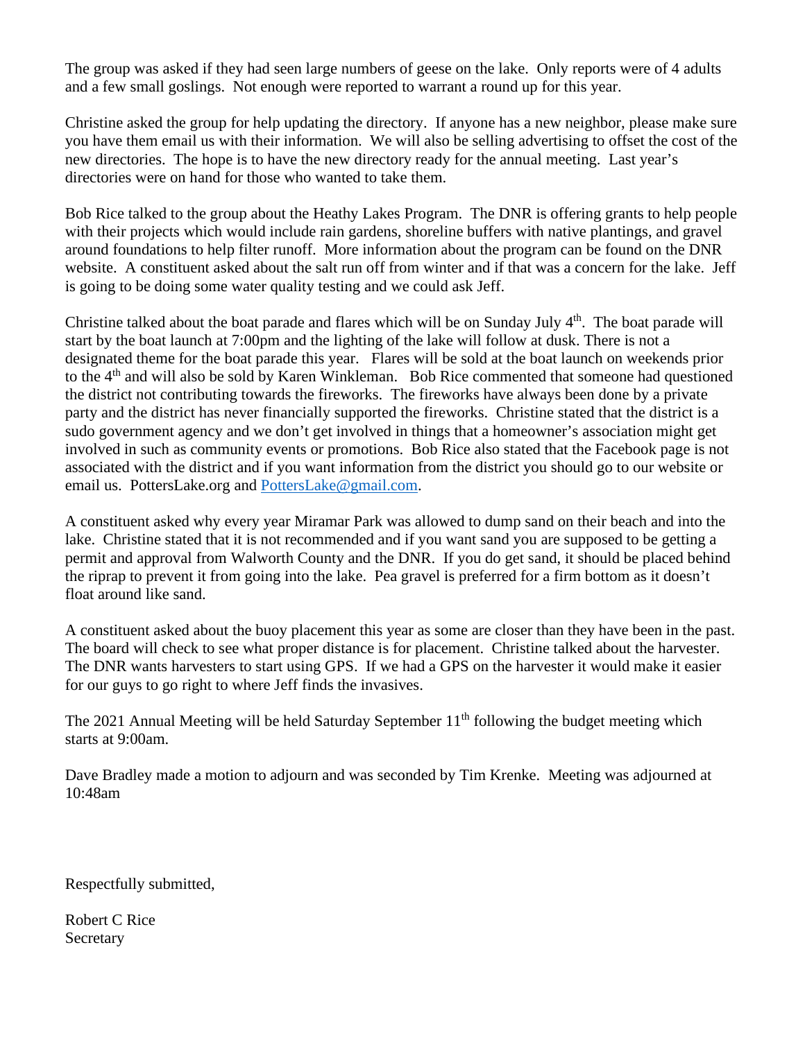The group was asked if they had seen large numbers of geese on the lake. Only reports were of 4 adults and a few small goslings. Not enough were reported to warrant a round up for this year.

Christine asked the group for help updating the directory. If anyone has a new neighbor, please make sure you have them email us with their information. We will also be selling advertising to offset the cost of the new directories. The hope is to have the new directory ready for the annual meeting. Last year's directories were on hand for those who wanted to take them.

Bob Rice talked to the group about the Heathy Lakes Program. The DNR is offering grants to help people with their projects which would include rain gardens, shoreline buffers with native plantings, and gravel around foundations to help filter runoff. More information about the program can be found on the DNR website. A constituent asked about the salt run off from winter and if that was a concern for the lake. Jeff is going to be doing some water quality testing and we could ask Jeff.

Christine talked about the boat parade and flares which will be on Sunday July  $4<sup>th</sup>$ . The boat parade will start by the boat launch at 7:00pm and the lighting of the lake will follow at dusk. There is not a designated theme for the boat parade this year. Flares will be sold at the boat launch on weekends prior to the 4th and will also be sold by Karen Winkleman. Bob Rice commented that someone had questioned the district not contributing towards the fireworks. The fireworks have always been done by a private party and the district has never financially supported the fireworks. Christine stated that the district is a sudo government agency and we don't get involved in things that a homeowner's association might get involved in such as community events or promotions. Bob Rice also stated that the Facebook page is not associated with the district and if you want information from the district you should go to our website or email us. PottersLake.org and [PottersLake@gmail.com.](mailto:PottersLake@gmail.com)

A constituent asked why every year Miramar Park was allowed to dump sand on their beach and into the lake. Christine stated that it is not recommended and if you want sand you are supposed to be getting a permit and approval from Walworth County and the DNR. If you do get sand, it should be placed behind the riprap to prevent it from going into the lake. Pea gravel is preferred for a firm bottom as it doesn't float around like sand.

A constituent asked about the buoy placement this year as some are closer than they have been in the past. The board will check to see what proper distance is for placement. Christine talked about the harvester. The DNR wants harvesters to start using GPS. If we had a GPS on the harvester it would make it easier for our guys to go right to where Jeff finds the invasives.

The 2021 Annual Meeting will be held Saturday September  $11<sup>th</sup>$  following the budget meeting which starts at 9:00am.

Dave Bradley made a motion to adjourn and was seconded by Tim Krenke. Meeting was adjourned at 10:48am

Respectfully submitted,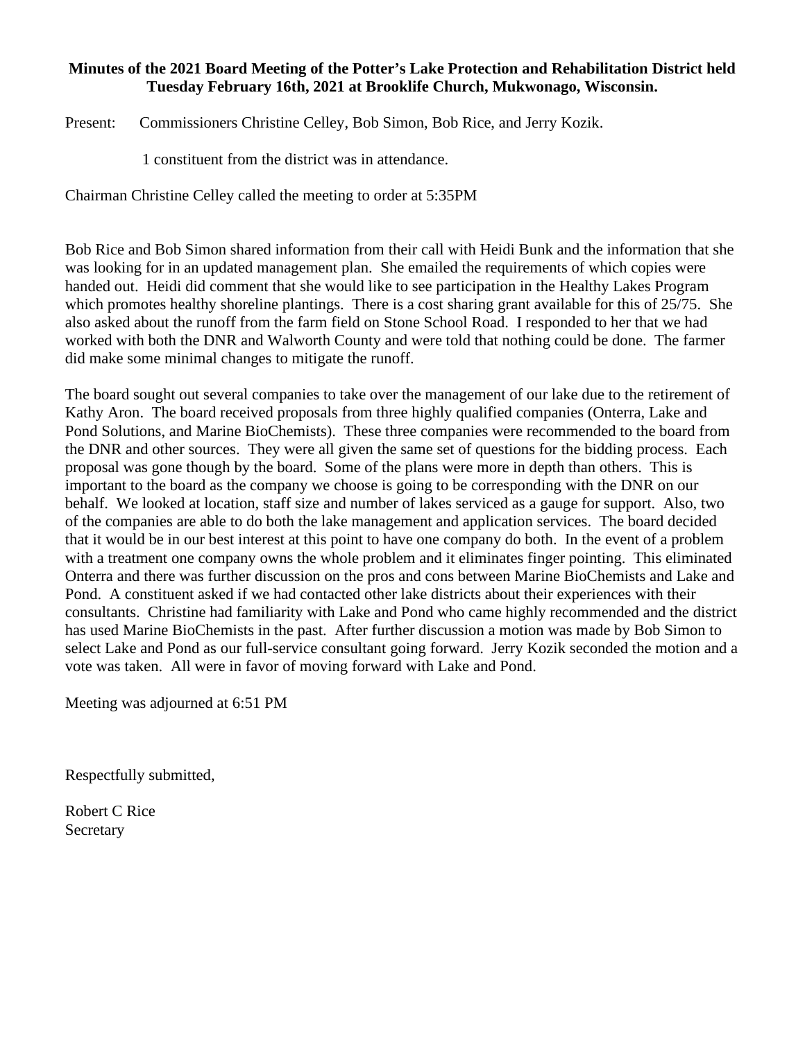### **Minutes of the 2021 Board Meeting of the Potter's Lake Protection and Rehabilitation District held Tuesday February 16th, 2021 at Brooklife Church, Mukwonago, Wisconsin.**

Present: Commissioners Christine Celley, Bob Simon, Bob Rice, and Jerry Kozik.

1 constituent from the district was in attendance.

Chairman Christine Celley called the meeting to order at 5:35PM

Bob Rice and Bob Simon shared information from their call with Heidi Bunk and the information that she was looking for in an updated management plan. She emailed the requirements of which copies were handed out. Heidi did comment that she would like to see participation in the Healthy Lakes Program which promotes healthy shoreline plantings. There is a cost sharing grant available for this of 25/75. She also asked about the runoff from the farm field on Stone School Road. I responded to her that we had worked with both the DNR and Walworth County and were told that nothing could be done. The farmer did make some minimal changes to mitigate the runoff.

The board sought out several companies to take over the management of our lake due to the retirement of Kathy Aron. The board received proposals from three highly qualified companies (Onterra, Lake and Pond Solutions, and Marine BioChemists). These three companies were recommended to the board from the DNR and other sources. They were all given the same set of questions for the bidding process. Each proposal was gone though by the board. Some of the plans were more in depth than others. This is important to the board as the company we choose is going to be corresponding with the DNR on our behalf. We looked at location, staff size and number of lakes serviced as a gauge for support. Also, two of the companies are able to do both the lake management and application services. The board decided that it would be in our best interest at this point to have one company do both. In the event of a problem with a treatment one company owns the whole problem and it eliminates finger pointing. This eliminated Onterra and there was further discussion on the pros and cons between Marine BioChemists and Lake and Pond. A constituent asked if we had contacted other lake districts about their experiences with their consultants. Christine had familiarity with Lake and Pond who came highly recommended and the district has used Marine BioChemists in the past. After further discussion a motion was made by Bob Simon to select Lake and Pond as our full-service consultant going forward. Jerry Kozik seconded the motion and a vote was taken. All were in favor of moving forward with Lake and Pond.

Meeting was adjourned at 6:51 PM

Respectfully submitted,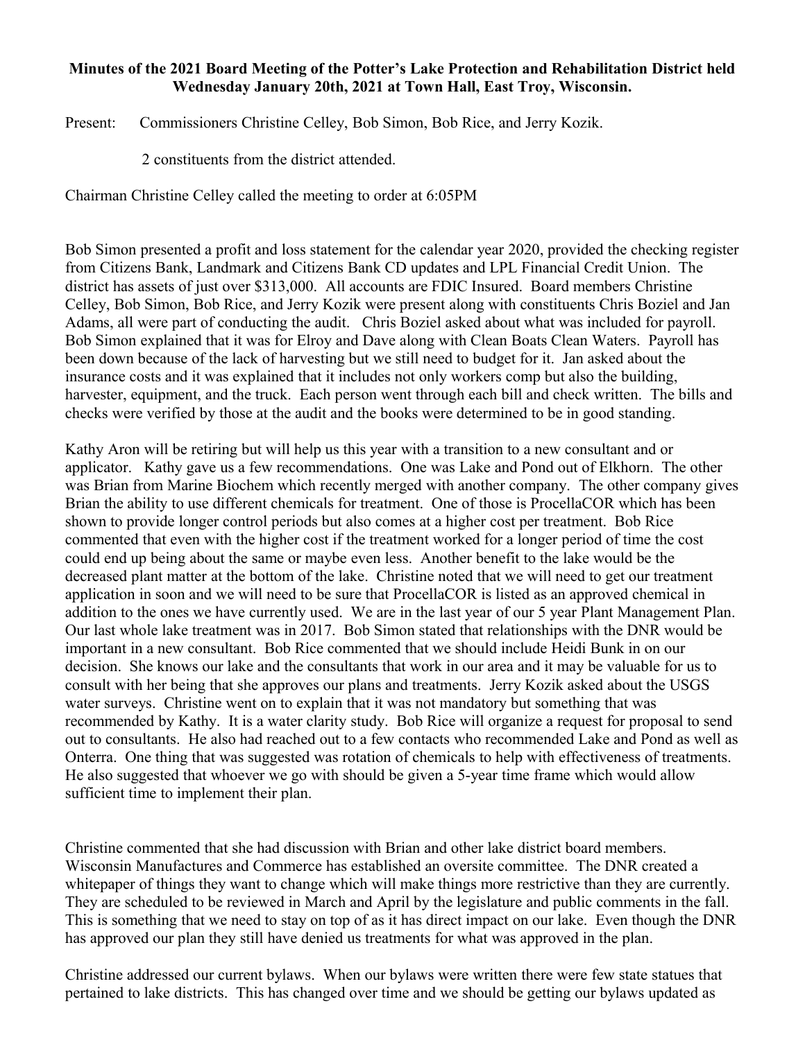### **Minutes of the 2021 Board Meeting of the Potter's Lake Protection and Rehabilitation District held Wednesday January 20th, 2021 at Town Hall, East Troy, Wisconsin.**

Present: Commissioners Christine Celley, Bob Simon, Bob Rice, and Jerry Kozik.

2 constituents from the district attended.

Chairman Christine Celley called the meeting to order at 6:05PM

Bob Simon presented a profit and loss statement for the calendar year 2020, provided the checking register from Citizens Bank, Landmark and Citizens Bank CD updates and LPL Financial Credit Union. The district has assets of just over \$313,000. All accounts are FDIC Insured. Board members Christine Celley, Bob Simon, Bob Rice, and Jerry Kozik were present along with constituents Chris Boziel and Jan Adams, all were part of conducting the audit. Chris Boziel asked about what was included for payroll. Bob Simon explained that it was for Elroy and Dave along with Clean Boats Clean Waters. Payroll has been down because of the lack of harvesting but we still need to budget for it. Jan asked about the insurance costs and it was explained that it includes not only workers comp but also the building, harvester, equipment, and the truck. Each person went through each bill and check written. The bills and checks were verified by those at the audit and the books were determined to be in good standing.

Kathy Aron will be retiring but will help us this year with a transition to a new consultant and or applicator. Kathy gave us a few recommendations. One was Lake and Pond out of Elkhorn. The other was Brian from Marine Biochem which recently merged with another company. The other company gives Brian the ability to use different chemicals for treatment. One of those is ProcellaCOR which has been shown to provide longer control periods but also comes at a higher cost per treatment. Bob Rice commented that even with the higher cost if the treatment worked for a longer period of time the cost could end up being about the same or maybe even less. Another benefit to the lake would be the decreased plant matter at the bottom of the lake. Christine noted that we will need to get our treatment application in soon and we will need to be sure that ProcellaCOR is listed as an approved chemical in addition to the ones we have currently used. We are in the last year of our 5 year Plant Management Plan. Our last whole lake treatment was in 2017. Bob Simon stated that relationships with the DNR would be important in a new consultant. Bob Rice commented that we should include Heidi Bunk in on our decision. She knows our lake and the consultants that work in our area and it may be valuable for us to consult with her being that she approves our plans and treatments. Jerry Kozik asked about the USGS water surveys. Christine went on to explain that it was not mandatory but something that was recommended by Kathy. It is a water clarity study. Bob Rice will organize a request for proposal to send out to consultants. He also had reached out to a few contacts who recommended Lake and Pond as well as Onterra. One thing that was suggested was rotation of chemicals to help with effectiveness of treatments. He also suggested that whoever we go with should be given a 5-year time frame which would allow sufficient time to implement their plan.

Christine commented that she had discussion with Brian and other lake district board members. Wisconsin Manufactures and Commerce has established an oversite committee. The DNR created a whitepaper of things they want to change which will make things more restrictive than they are currently. They are scheduled to be reviewed in March and April by the legislature and public comments in the fall. This is something that we need to stay on top of as it has direct impact on our lake. Even though the DNR has approved our plan they still have denied us treatments for what was approved in the plan.

Christine addressed our current bylaws. When our bylaws were written there were few state statues that pertained to lake districts. This has changed over time and we should be getting our bylaws updated as